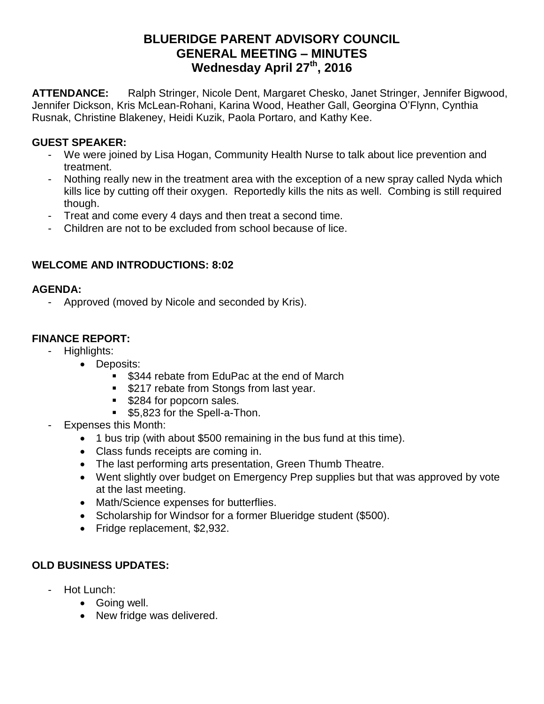# **BLUERIDGE PARENT ADVISORY COUNCIL GENERAL MEETING – MINUTES Wednesday April 27 th, 2016**

**ATTENDANCE:** Ralph Stringer, Nicole Dent, Margaret Chesko, Janet Stringer, Jennifer Bigwood, Jennifer Dickson, Kris McLean-Rohani, Karina Wood, Heather Gall, Georgina O'Flynn, Cynthia Rusnak, Christine Blakeney, Heidi Kuzik, Paola Portaro, and Kathy Kee.

## **GUEST SPEAKER:**

- We were joined by Lisa Hogan, Community Health Nurse to talk about lice prevention and treatment.
- Nothing really new in the treatment area with the exception of a new spray called Nyda which kills lice by cutting off their oxygen. Reportedly kills the nits as well. Combing is still required though.
- Treat and come every 4 days and then treat a second time.
- Children are not to be excluded from school because of lice.

### **WELCOME AND INTRODUCTIONS: 8:02**

#### **AGENDA:**

Approved (moved by Nicole and seconded by Kris).

## **FINANCE REPORT:**

- Highlights:
	- Deposits:
		- **S344 rebate from EduPac at the end of March**
		- **\$217 rebate from Stongs from last year.**
		- **\$284 for popcorn sales.**
		- **55,823 for the Spell-a-Thon.**
- Expenses this Month:
	- 1 bus trip (with about \$500 remaining in the bus fund at this time).
	- Class funds receipts are coming in.
	- The last performing arts presentation, Green Thumb Theatre.
	- Went slightly over budget on Emergency Prep supplies but that was approved by vote at the last meeting.
	- Math/Science expenses for butterflies.
	- Scholarship for Windsor for a former Blueridge student (\$500).
	- Fridge replacement, \$2,932.

## **OLD BUSINESS UPDATES:**

- Hot Lunch:
	- Going well.
	- New fridge was delivered.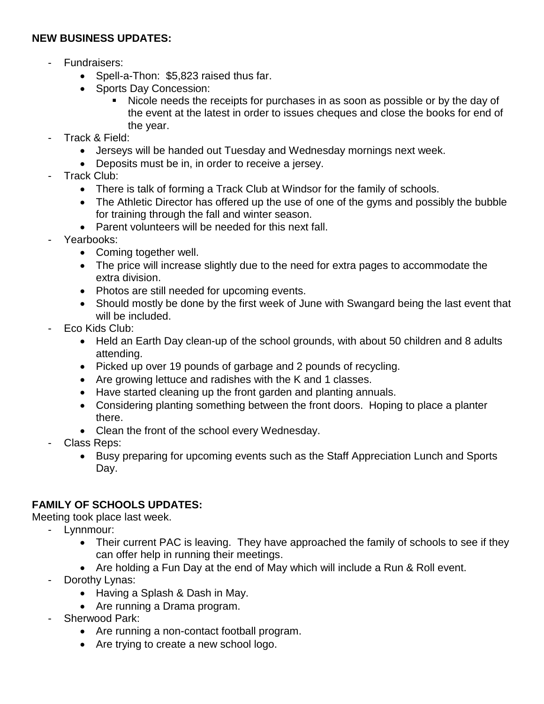#### **NEW BUSINESS UPDATES:**

- Fundraisers:
	- Spell-a-Thon: \$5,823 raised thus far.
	- Sports Day Concession:
		- Nicole needs the receipts for purchases in as soon as possible or by the day of the event at the latest in order to issues cheques and close the books for end of the year.
- Track & Field:
	- Jerseys will be handed out Tuesday and Wednesday mornings next week.
	- Deposits must be in, in order to receive a jersey.
- Track Club:
	- There is talk of forming a Track Club at Windsor for the family of schools.
	- The Athletic Director has offered up the use of one of the gyms and possibly the bubble for training through the fall and winter season.
	- Parent volunteers will be needed for this next fall.
- Yearbooks:
	- Coming together well.
	- The price will increase slightly due to the need for extra pages to accommodate the extra division.
	- Photos are still needed for upcoming events.
	- Should mostly be done by the first week of June with Swangard being the last event that will be included.
- Eco Kids Club:
	- Held an Earth Day clean-up of the school grounds, with about 50 children and 8 adults attending.
	- Picked up over 19 pounds of garbage and 2 pounds of recycling.
	- Are growing lettuce and radishes with the K and 1 classes.
	- Have started cleaning up the front garden and planting annuals.
	- Considering planting something between the front doors. Hoping to place a planter there.
	- Clean the front of the school every Wednesday.
- Class Reps:
	- Busy preparing for upcoming events such as the Staff Appreciation Lunch and Sports Day.

# **FAMILY OF SCHOOLS UPDATES:**

Meeting took place last week.

- Lynnmour:
	- Their current PAC is leaving. They have approached the family of schools to see if they can offer help in running their meetings.
	- Are holding a Fun Day at the end of May which will include a Run & Roll event.
- Dorothy Lynas:
	- Having a Splash & Dash in May.
	- Are running a Drama program.
- Sherwood Park:
	- Are running a non-contact football program.
	- Are trying to create a new school logo.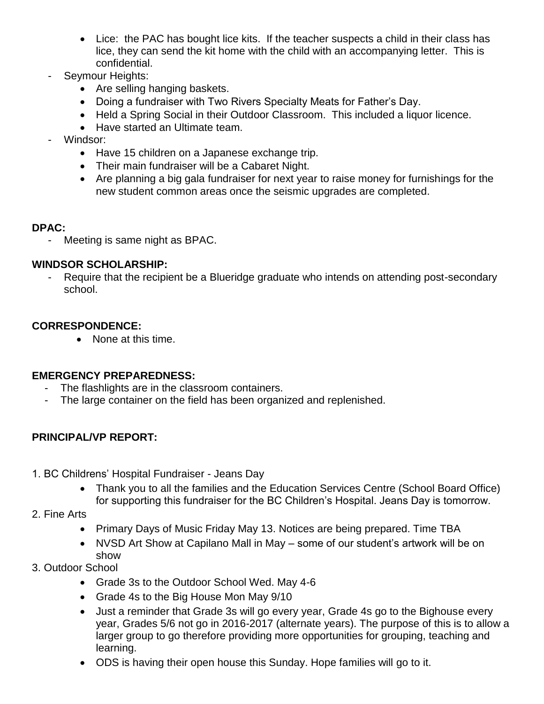- Lice: the PAC has bought lice kits. If the teacher suspects a child in their class has lice, they can send the kit home with the child with an accompanying letter. This is confidential.
- Seymour Heights:
	- Are selling hanging baskets.
	- Doing a fundraiser with Two Rivers Specialty Meats for Father's Day.
	- Held a Spring Social in their Outdoor Classroom. This included a liquor licence.
	- Have started an Ultimate team.
- Windsor:
	- Have 15 children on a Japanese exchange trip.
	- Their main fundraiser will be a Cabaret Night.
	- Are planning a big gala fundraiser for next year to raise money for furnishings for the new student common areas once the seismic upgrades are completed.

#### **DPAC:**

- Meeting is same night as BPAC.

#### **WINDSOR SCHOLARSHIP:**

- Require that the recipient be a Blueridge graduate who intends on attending post-secondary school.

### **CORRESPONDENCE:**

• None at this time.

#### **EMERGENCY PREPAREDNESS:**

- The flashlights are in the classroom containers.
- The large container on the field has been organized and replenished.

## **PRINCIPAL/VP REPORT:**

- 1. BC Childrens' Hospital Fundraiser Jeans Day
	- Thank you to all the families and the Education Services Centre (School Board Office) for supporting this fundraiser for the BC Children's Hospital. Jeans Day is tomorrow.
- 2. Fine Arts
	- Primary Days of Music Friday May 13. Notices are being prepared. Time TBA
	- NVSD Art Show at Capilano Mall in May some of our student's artwork will be on show
- 3. Outdoor School
	- Grade 3s to the Outdoor School Wed. May 4-6
	- Grade 4s to the Big House Mon May 9/10
	- Just a reminder that Grade 3s will go every year, Grade 4s go to the Bighouse every year, Grades 5/6 not go in 2016-2017 (alternate years). The purpose of this is to allow a larger group to go therefore providing more opportunities for grouping, teaching and learning.
	- ODS is having their open house this Sunday. Hope families will go to it.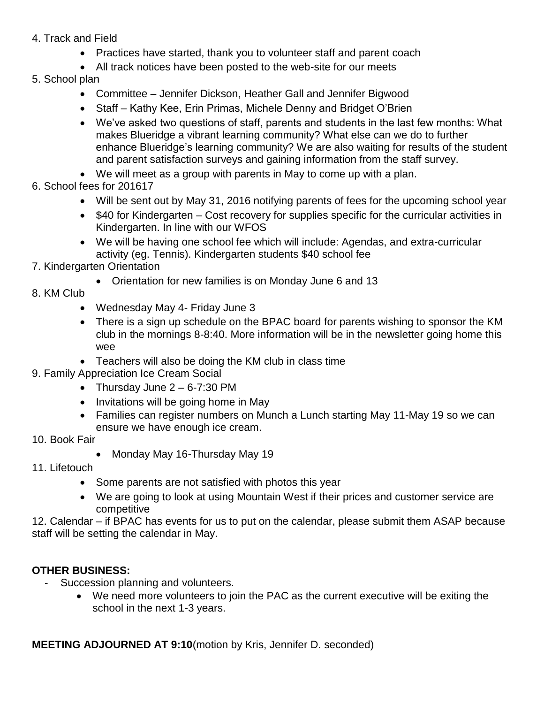- 4. Track and Field
	- Practices have started, thank you to volunteer staff and parent coach
	- All track notices have been posted to the web-site for our meets
- 5. School plan
	- Committee Jennifer Dickson, Heather Gall and Jennifer Bigwood
	- Staff Kathy Kee, Erin Primas, Michele Denny and Bridget O'Brien
	- We've asked two questions of staff, parents and students in the last few months: What makes Blueridge a vibrant learning community? What else can we do to further enhance Blueridge's learning community? We are also waiting for results of the student and parent satisfaction surveys and gaining information from the staff survey.
	- We will meet as a group with parents in May to come up with a plan.
- 6. School fees for 201617
	- Will be sent out by May 31, 2016 notifying parents of fees for the upcoming school year
	- \$40 for Kindergarten Cost recovery for supplies specific for the curricular activities in Kindergarten. In line with our WFOS
	- We will be having one school fee which will include: Agendas, and extra-curricular activity (eg. Tennis). Kindergarten students \$40 school fee
- 7. Kindergarten Orientation
	- Orientation for new families is on Monday June 6 and 13
- 8. KM Club
	- Wednesday May 4- Friday June 3
	- There is a sign up schedule on the BPAC board for parents wishing to sponsor the KM club in the mornings 8-8:40. More information will be in the newsletter going home this wee
	- Teachers will also be doing the KM club in class time
- 9. Family Appreciation Ice Cream Social
	- Thursday June  $2 6 7:30$  PM
	- Invitations will be going home in May
	- Families can register numbers on Munch a Lunch starting May 11-May 19 so we can ensure we have enough ice cream.
- 10. Book Fair
	- Monday May 16-Thursday May 19
- 11. Lifetouch
	- Some parents are not satisfied with photos this year
	- We are going to look at using Mountain West if their prices and customer service are competitive

12. Calendar – if BPAC has events for us to put on the calendar, please submit them ASAP because staff will be setting the calendar in May.

#### **OTHER BUSINESS:**

- Succession planning and volunteers.
	- We need more volunteers to join the PAC as the current executive will be exiting the school in the next 1-3 years.

**MEETING ADJOURNED AT 9:10**(motion by Kris, Jennifer D. seconded)